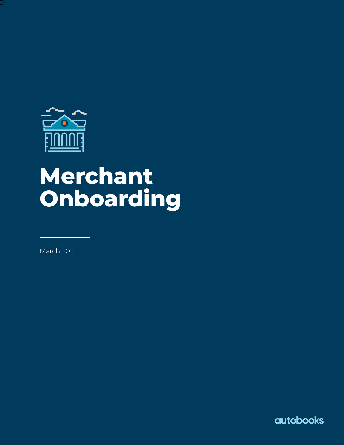

D

# Merchant Onboarding

**March 2021** 

autobooks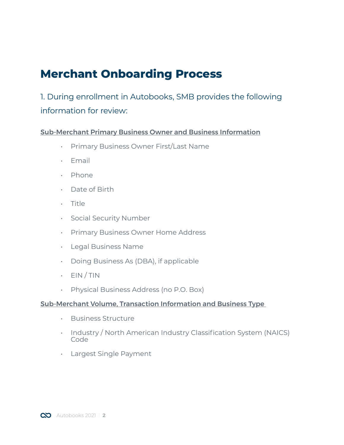## **Merchant Onboarding Process**

1. During enrollment in Autobooks, SMB provides the following information for review:

#### Sub-Merchant Primary Business Owner and Business Information

- Primary Business Owner First/Last Name
- Email
- Phone
- Date of Birth
- Title
- Social Security Number
- Primary Business Owner Home Address
- Legal Business Name
- Doing Business As (DBA), if applicable
- $\cdot$  EIN/TIN
- Physical Business Address (no P.O. Box)

#### Sub-Merchant Volume, Transaction Information and Business Type

- Business Structure
- Industry / North American Industry Classification System (NAICS) Code
- Largest Single Payment

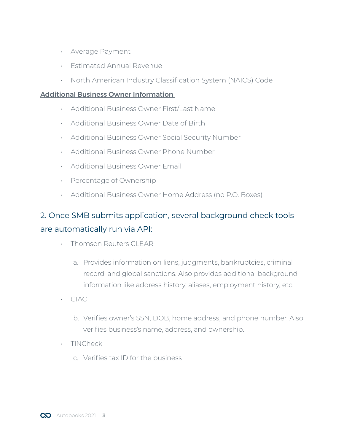- Average Payment
- Estimated Annual Revenue
- North American Industry Classification System (NAICS) Code

#### Additional Business Owner Information

- Additional Business Owner First/Last Name
- Additional Business Owner Date of Birth
- Additional Business Owner Social Security Number
- Additional Business Owner Phone Number
- Additional Business Owner Email
- Percentage of Ownership
- Additional Business Owner Home Address (no P.O. Boxes)

### 2. Once SMB submits application, several background check tools are automatically run via API:

- Thomson Reuters CLEAR
	- a. Provides information on liens, judgments, bankruptcies, criminal record, and global sanctions. Also provides additional background information like address history, aliases, employment history, etc.
- GIACT
	- b. Verifies owner's SSN, DOB, home address, and phone number. Also verifies business's name, address, and ownership.
- TINCheck
	- c. Verifies tax ID for the business

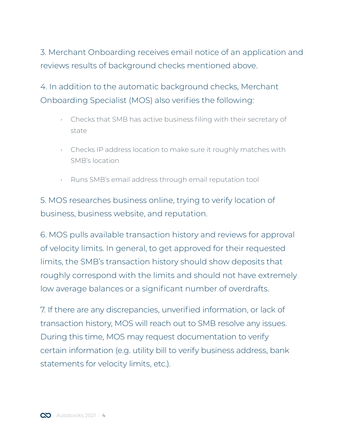3. Merchant Onboarding receives email notice of an application and reviews results of background checks mentioned above.

4. In addition to the automatic background checks, Merchant Onboarding Specialist (MOS) also verifies the following:

- Checks that SMB has active business filing with their secretary of state
- Checks IP address location to make sure it roughly matches with SMB's location
- Runs SMB's email address through email reputation tool

5. MOS researches business online, trying to verify location of business, business website, and reputation.

6. MOS pulls available transaction history and reviews for approval of velocity limits. In general, to get approved for their requested limits, the SMB's transaction history should show deposits that roughly correspond with the limits and should not have extremely low average balances or a significant number of overdrafts.

7. If there are any discrepancies, unverified information, or lack of transaction history, MOS will reach out to SMB resolve any issues. During this time, MOS may request documentation to verify certain information (e.g. utility bill to verify business address, bank statements for velocity limits, etc.).